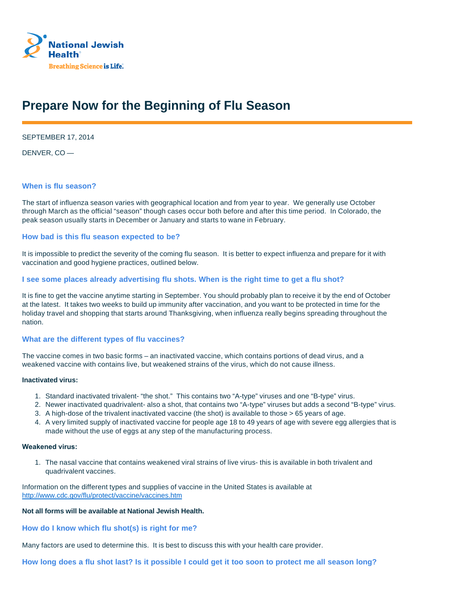

# **Prepare Now for the Beginning of Flu Season**

SEPTEMBER 17, 2014

DENVER, CO —

#### **When is flu season?**

The start of influenza season varies with geographical location and from year to year. We generally use October through March as the official "season" though cases occur both before and after this time period. In Colorado, the peak season usually starts in December or January and starts to wane in February.

#### **How bad is this flu season expected to be?**

It is impossible to predict the severity of the coming flu season. It is better to expect influenza and prepare for it with vaccination and good hygiene practices, outlined below.

#### **I see some places already advertising flu shots. When is the right time to get a flu shot?**

It is fine to get the vaccine anytime starting in September. You should probably plan to receive it by the end of October at the latest. It takes two weeks to build up immunity after vaccination, and you want to be protected in time for the holiday travel and shopping that starts around Thanksgiving, when influenza really begins spreading throughout the nation.

# **What are the different types of flu vaccines?**

The vaccine comes in two basic forms – an inactivated vaccine, which contains portions of dead virus, and a weakened vaccine with contains live, but weakened strains of the virus, which do not cause illness.

#### **Inactivated virus:**

- 1. Standard inactivated trivalent- "the shot." This contains two "A-type" viruses and one "B-type" virus.
- 2. Newer inactivated quadrivalent- also a shot, that contains two "A-type" viruses but adds a second "B-type" virus.
- 3. A high-dose of the trivalent inactivated vaccine (the shot) is available to those > 65 years of age.
- 4. A very limited supply of inactivated vaccine for people age 18 to 49 years of age with severe egg allergies that is made without the use of eggs at any step of the manufacturing process.

#### **Weakened virus:**

1. The nasal vaccine that contains weakened viral strains of live virus- this is available in both trivalent and quadrivalent vaccines.

Information on the different types and supplies of vaccine in the United States is available at http://www.cdc.gov/flu/protect/vaccine/vaccines.htm

# **Not all forms will be available at National Jewish Health.**

**How do I know which flu shot(s) is right for me?** 

Many factors are used to determine this. It is best to discuss this with your health care provider.

**How long does a flu shot last? Is it possible I could get it too soon to protect me all season long?**